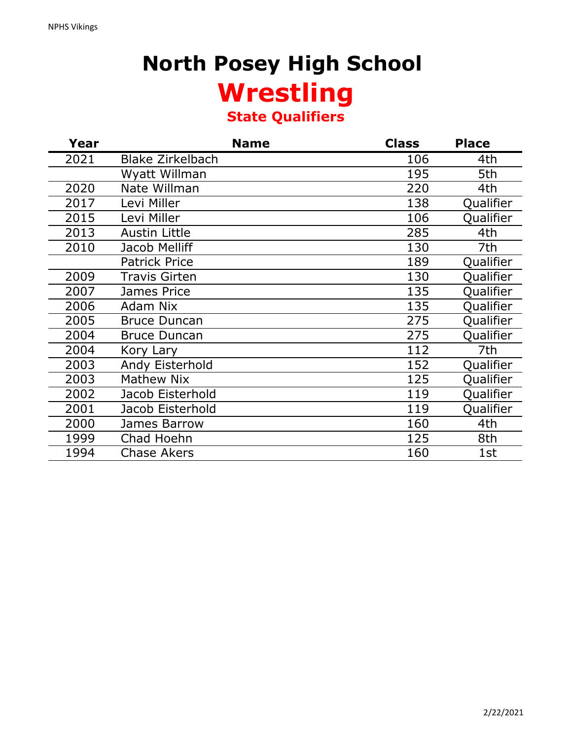## **North Posey High School Wrestling State Qualifiers**

| Year | <b>Name</b>             | <b>Class</b> | <b>Place</b> |
|------|-------------------------|--------------|--------------|
| 2021 | <b>Blake Zirkelbach</b> | 106          | 4th          |
|      | Wyatt Willman           | 195          | 5th          |
| 2020 | Nate Willman            | 220          | 4th          |
| 2017 | Levi Miller             | 138          | Qualifier    |
| 2015 | Levi Miller             | 106          | Qualifier    |
| 2013 | <b>Austin Little</b>    | 285          | 4th          |
| 2010 | Jacob Melliff           | 130          | 7th          |
|      | <b>Patrick Price</b>    | 189          | Qualifier    |
| 2009 | Travis Girten           | 130          | Qualifier    |
| 2007 | <b>James Price</b>      | 135          | Qualifier    |
| 2006 | <b>Adam Nix</b>         | 135          | Qualifier    |
| 2005 | <b>Bruce Duncan</b>     | 275          | Qualifier    |
| 2004 | <b>Bruce Duncan</b>     | 275          | Qualifier    |
| 2004 | Kory Lary               | 112          | 7th          |
| 2003 | Andy Eisterhold         | 152          | Qualifier    |
| 2003 | Mathew Nix              | 125          | Qualifier    |
| 2002 | Jacob Eisterhold        | 119          | Qualifier    |
| 2001 | Jacob Eisterhold        | 119          | Qualifier    |
| 2000 | James Barrow            | 160          | 4th          |
| 1999 | Chad Hoehn              | 125          | 8th          |
| 1994 | <b>Chase Akers</b>      | 160          | 1st          |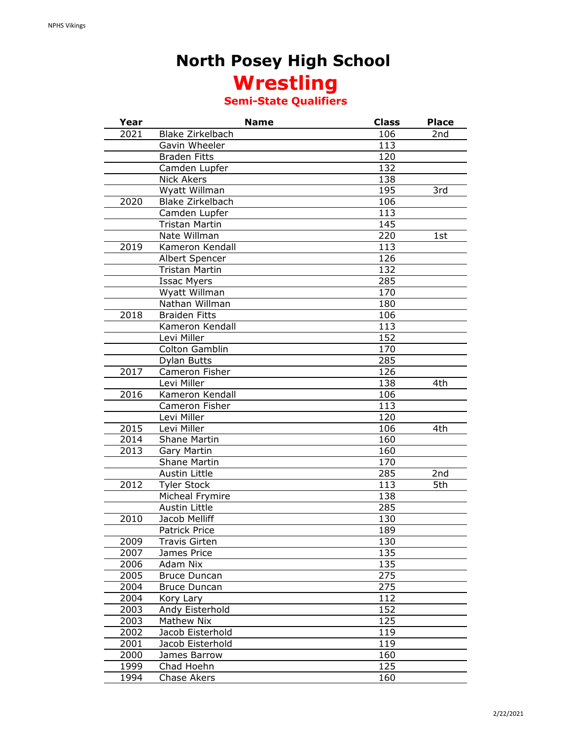#### **North Posey High School Wrestling**

#### **Semi-State Qualifiers**

| Year         | <b>Name</b>                  | <b>Class</b>     | <b>Place</b> |
|--------------|------------------------------|------------------|--------------|
| 2021         | <b>Blake Zirkelbach</b>      | 106              | 2nd          |
|              | Gavin Wheeler                | 113              |              |
|              | <b>Braden Fitts</b>          | 120              |              |
|              | Camden Lupfer                | 132              |              |
|              | <b>Nick Akers</b>            | 138              |              |
|              | Wyatt Willman                | 195              | 3rd          |
| 2020         | <b>Blake Zirkelbach</b>      | 106              |              |
|              | Camden Lupfer                | $\overline{113}$ |              |
|              | Tristan Martin               | 145              |              |
|              | Nate Willman                 | 220              | 1st          |
| 2019         | Kameron Kendall              | 113              |              |
|              | Albert Spencer               | 126              |              |
|              | Tristan Martin               | 132              |              |
|              | <b>Issac Myers</b>           | 285              |              |
|              | Wyatt Willman                | 170              |              |
|              | Nathan Willman               | 180              |              |
| 2018         | <b>Braiden Fitts</b>         | 106              |              |
|              | Kameron Kendall              | 113              |              |
|              | Levi Miller                  | 152              |              |
|              | Colton Gamblin               | 170              |              |
|              | Dylan Butts                  | 285              |              |
| 2017         | Cameron Fisher               | 126              |              |
|              | Levi Miller                  | 138              | 4th          |
| 2016         | Kameron Kendall              | 106              |              |
|              | Cameron Fisher               | 113              |              |
|              | Levi Miller                  | 120              |              |
| 2015         | Levi Miller                  | 106              | 4th          |
| 2014         | <b>Shane Martin</b>          | 160              |              |
| 2013         | Gary Martin                  | 160              |              |
|              | <b>Shane Martin</b>          | 170              |              |
|              | Austin Little                | 285              | 2nd          |
| 2012         | <b>Tyler Stock</b>           | 113              | 5th          |
|              | Micheal Frymire              | 138              |              |
|              | Austin Little                | 285              |              |
| 2010         | <b>Jacob Melliff</b>         | 130              |              |
|              | Patrick Price                | 189              |              |
| 2009         | Travis Girten                | 130              |              |
| 2007         | James Price                  | 135              |              |
| 2006         | Adam Nix                     | 135              |              |
| 2005         | <b>Bruce Duncan</b>          | 275              |              |
| 2004         | <b>Bruce Duncan</b>          | 275              |              |
|              |                              | 112              |              |
| 2004<br>2003 | Kory Lary<br>Andy Eisterhold | 152              |              |
|              | Mathew Nix                   | 125              |              |
| 2003         |                              |                  |              |
| 2002         | Jacob Eisterhold             | 119              |              |
| 2001         | Jacob Eisterhold             | 119              |              |
| 2000         | James Barrow                 | 160              |              |
| 1999         | Chad Hoehn                   | 125              |              |
| 1994         | <b>Chase Akers</b>           | 160              |              |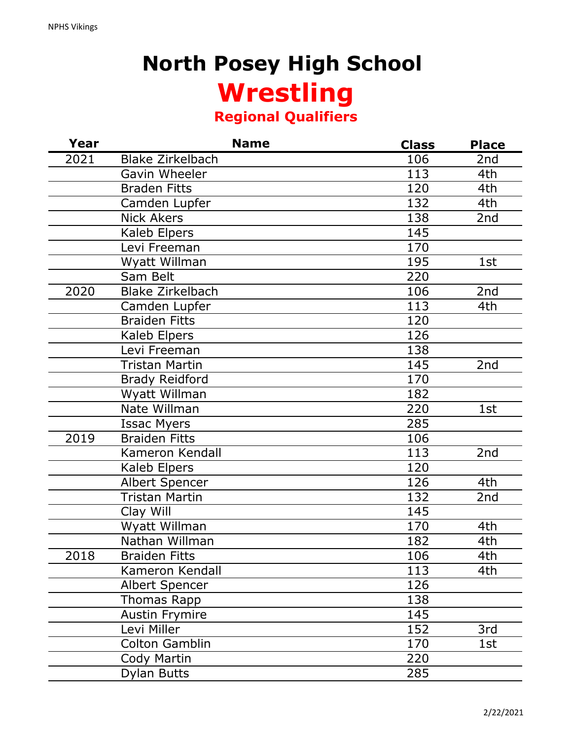# **North Posey High School Wrestling Regional Qualifiers**

| Year | <b>Name</b>             | <b>Class</b> | <b>Place</b>      |
|------|-------------------------|--------------|-------------------|
| 2021 | <b>Blake Zirkelbach</b> | 106          | 2 <sub>nd</sub>   |
|      | Gavin Wheeler           | 113          | 4th               |
|      | <b>Braden Fitts</b>     | 120          | 4th               |
|      | Camden Lupfer           | 132          | 4th               |
|      | <b>Nick Akers</b>       | 138          | 2nd               |
|      | Kaleb Elpers            | 145          |                   |
|      | Levi Freeman            | 170          |                   |
|      | Wyatt Willman           | 195          | 1st               |
|      | Sam Belt                | 220          |                   |
| 2020 | <b>Blake Zirkelbach</b> | 106          | $\overline{2}$ nd |
|      | Camden Lupfer           | 113          | 4th               |
|      | <b>Braiden Fitts</b>    | 120          |                   |
|      | Kaleb Elpers            | 126          |                   |
|      | Levi Freeman            | 138          |                   |
|      | Tristan Martin          | 145          | 2nd               |
|      | <b>Brady Reidford</b>   | 170          |                   |
|      | Wyatt Willman           | 182          |                   |
|      | Nate Willman            | 220          | 1st               |
|      | <b>Issac Myers</b>      | 285          |                   |
| 2019 | <b>Braiden Fitts</b>    | 106          |                   |
|      | Kameron Kendall         | 113          | 2nd               |
|      | Kaleb Elpers            | 120          |                   |
|      | <b>Albert Spencer</b>   | 126          | 4th               |
|      | Tristan Martin          | 132          | 2nd               |
|      | Clay Will               | 145          |                   |
|      | Wyatt Willman           | 170          | 4th               |
|      | Nathan Willman          | 182          | 4th               |
| 2018 | <b>Braiden Fitts</b>    | 106          | 4th               |
|      | Kameron Kendall         | 113          | 4th               |
|      | Albert Spencer          | 126          |                   |
|      | Thomas Rapp             | 138          |                   |
|      | <b>Austin Frymire</b>   | 145          |                   |
|      | Levi Miller             | 152          | 3rd               |
|      | Colton Gamblin          | 170          | 1st               |
|      | Cody Martin             | 220          |                   |
|      | <b>Dylan Butts</b>      | 285          |                   |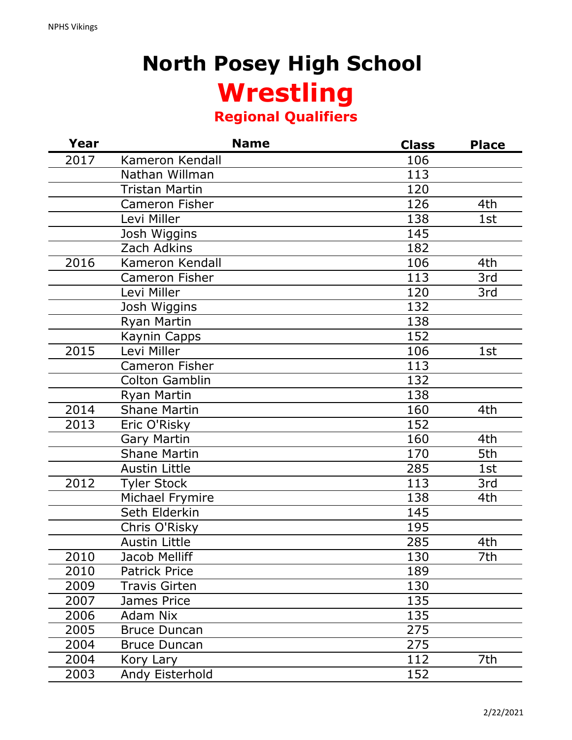# **North Posey High School Wrestling Regional Qualifiers**

| Year | <b>Name</b>           | <b>Class</b> | <b>Place</b> |
|------|-----------------------|--------------|--------------|
| 2017 | Kameron Kendall       | 106          |              |
|      | Nathan Willman        | 113          |              |
|      | <b>Tristan Martin</b> | 120          |              |
|      | <b>Cameron Fisher</b> | 126          | 4th          |
|      | Levi Miller           | 138          | 1st          |
|      | Josh Wiggins          | 145          |              |
|      | Zach Adkins           | 182          |              |
| 2016 | Kameron Kendall       | 106          | 4th          |
|      | <b>Cameron Fisher</b> | 113          | 3rd          |
|      | Levi Miller           | 120          | 3rd          |
|      | Josh Wiggins          | 132          |              |
|      | Ryan Martin           | 138          |              |
|      | Kaynin Capps          | 152          |              |
| 2015 | Levi Miller           | 106          | 1st          |
|      | Cameron Fisher        | 113          |              |
|      | <b>Colton Gamblin</b> | 132          |              |
|      | Ryan Martin           | 138          |              |
| 2014 | <b>Shane Martin</b>   | 160          | 4th          |
| 2013 | Eric O'Risky          | 152          |              |
|      | <b>Gary Martin</b>    | 160          | 4th          |
|      | <b>Shane Martin</b>   | 170          | 5th          |
|      | <b>Austin Little</b>  | 285          | 1st          |
| 2012 | <b>Tyler Stock</b>    | 113          | 3rd          |
|      | Michael Frymire       | 138          | 4th          |
|      | Seth Elderkin         | 145          |              |
|      | Chris O'Risky         | 195          |              |
|      | <b>Austin Little</b>  | 285          | 4th          |
| 2010 | Jacob Melliff         | 130          | 7th          |
| 2010 | <b>Patrick Price</b>  | 189          |              |
| 2009 | <b>Travis Girten</b>  | 130          |              |
| 2007 | James Price           | 135          |              |
| 2006 | <b>Adam Nix</b>       | 135          |              |
| 2005 | <b>Bruce Duncan</b>   | 275          |              |
| 2004 | <b>Bruce Duncan</b>   | 275          |              |
| 2004 | Kory Lary             | 112          | 7th          |
| 2003 | Andy Eisterhold       | 152          |              |